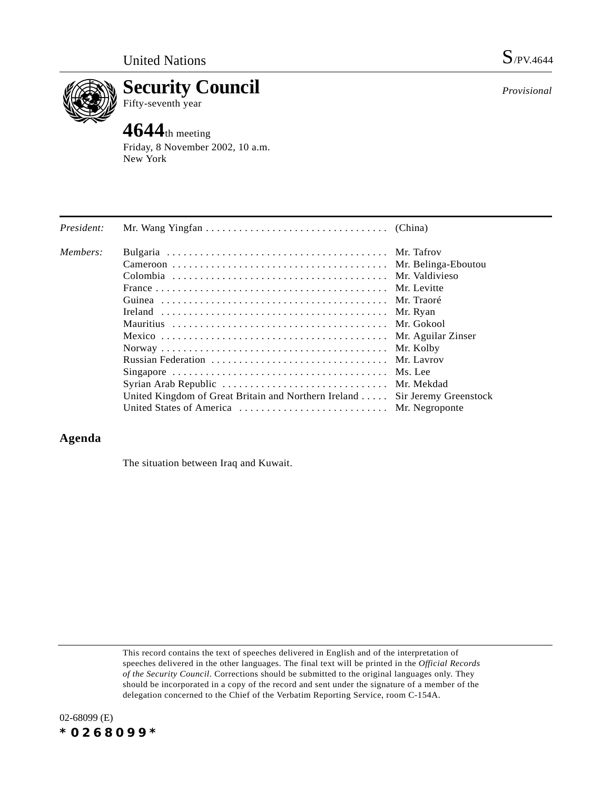

**Security Council** Fifty-seventh year

## **4644**th meeting

Friday, 8 November 2002, 10 a.m. New York

| President: |                                                                             |            |
|------------|-----------------------------------------------------------------------------|------------|
| Members:   |                                                                             |            |
|            |                                                                             |            |
|            |                                                                             |            |
|            |                                                                             |            |
|            |                                                                             | Mr. Traoré |
|            |                                                                             | Mr. Ryan   |
|            |                                                                             | Mr. Gokool |
|            |                                                                             |            |
|            |                                                                             | Mr. Kolby  |
|            |                                                                             | Mr. Lavrov |
|            |                                                                             |            |
|            | Syrian Arab Republic  Mr. Mekdad                                            |            |
|            | United Kingdom of Great Britain and Northern Ireland  Sir Jeremy Greenstock |            |
|            | United States of America  Mr. Negroponte                                    |            |

## **Agenda**

The situation between Iraq and Kuwait.

This record contains the text of speeches delivered in English and of the interpretation of speeches delivered in the other languages. The final text will be printed in the *Official Records of the Security Council*. Corrections should be submitted to the original languages only. They should be incorporated in a copy of the record and sent under the signature of a member of the delegation concerned to the Chief of the Verbatim Reporting Service, room C-154A.



*Provisional*

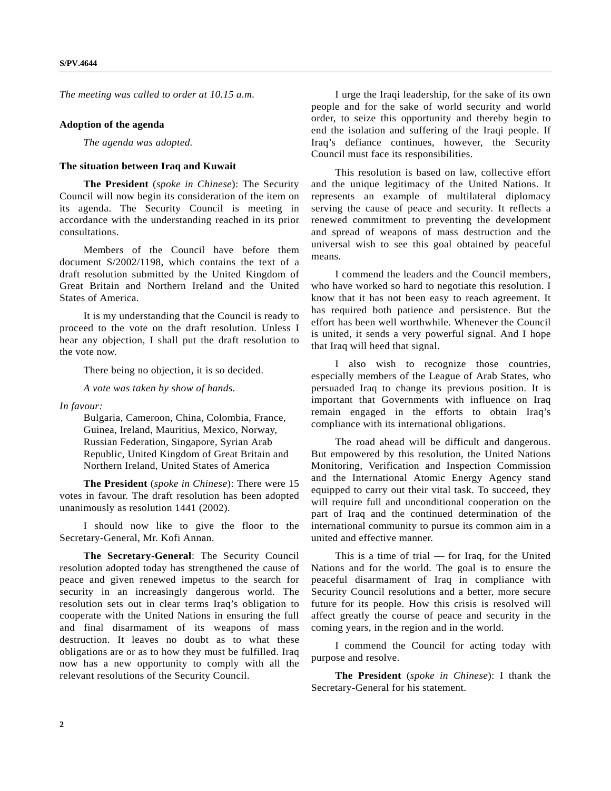*The meeting was called to order at 10.15 a.m.*

## **Adoption of the agenda**

*The agenda was adopted.*

## **The situation between Iraq and Kuwait**

**The President** (*spoke in Chinese*): The Security Council will now begin its consideration of the item on its agenda. The Security Council is meeting in accordance with the understanding reached in its prior consultations.

Members of the Council have before them document S/2002/1198, which contains the text of a draft resolution submitted by the United Kingdom of Great Britain and Northern Ireland and the United States of America.

It is my understanding that the Council is ready to proceed to the vote on the draft resolution. Unless I hear any objection, I shall put the draft resolution to the vote now.

There being no objection, it is so decided.

*A vote was taken by show of hands.*

*In favour:*

Bulgaria, Cameroon, China, Colombia, France, Guinea, Ireland, Mauritius, Mexico, Norway, Russian Federation, Singapore, Syrian Arab Republic, United Kingdom of Great Britain and Northern Ireland, United States of America

**The President** (*spoke in Chinese*): There were 15 votes in favour. The draft resolution has been adopted unanimously as resolution 1441 (2002).

I should now like to give the floor to the Secretary-General, Mr. Kofi Annan.

**The Secretary-General**: The Security Council resolution adopted today has strengthened the cause of peace and given renewed impetus to the search for security in an increasingly dangerous world. The resolution sets out in clear terms Iraq's obligation to cooperate with the United Nations in ensuring the full and final disarmament of its weapons of mass destruction. It leaves no doubt as to what these obligations are or as to how they must be fulfilled. Iraq now has a new opportunity to comply with all the relevant resolutions of the Security Council.

I urge the Iraqi leadership, for the sake of its own people and for the sake of world security and world order, to seize this opportunity and thereby begin to end the isolation and suffering of the Iraqi people. If Iraq's defiance continues, however, the Security Council must face its responsibilities.

This resolution is based on law, collective effort and the unique legitimacy of the United Nations. It represents an example of multilateral diplomacy serving the cause of peace and security. It reflects a renewed commitment to preventing the development and spread of weapons of mass destruction and the universal wish to see this goal obtained by peaceful means.

I commend the leaders and the Council members, who have worked so hard to negotiate this resolution. I know that it has not been easy to reach agreement. It has required both patience and persistence. But the effort has been well worthwhile. Whenever the Council is united, it sends a very powerful signal. And I hope that Iraq will heed that signal.

I also wish to recognize those countries, especially members of the League of Arab States, who persuaded Iraq to change its previous position. It is important that Governments with influence on Iraq remain engaged in the efforts to obtain Iraq's compliance with its international obligations.

The road ahead will be difficult and dangerous. But empowered by this resolution, the United Nations Monitoring, Verification and Inspection Commission and the International Atomic Energy Agency stand equipped to carry out their vital task. To succeed, they will require full and unconditional cooperation on the part of Iraq and the continued determination of the international community to pursue its common aim in a united and effective manner.

This is a time of trial — for Iraq, for the United Nations and for the world. The goal is to ensure the peaceful disarmament of Iraq in compliance with Security Council resolutions and a better, more secure future for its people. How this crisis is resolved will affect greatly the course of peace and security in the coming years, in the region and in the world.

I commend the Council for acting today with purpose and resolve.

**The President** (*spoke in Chinese*): I thank the Secretary-General for his statement.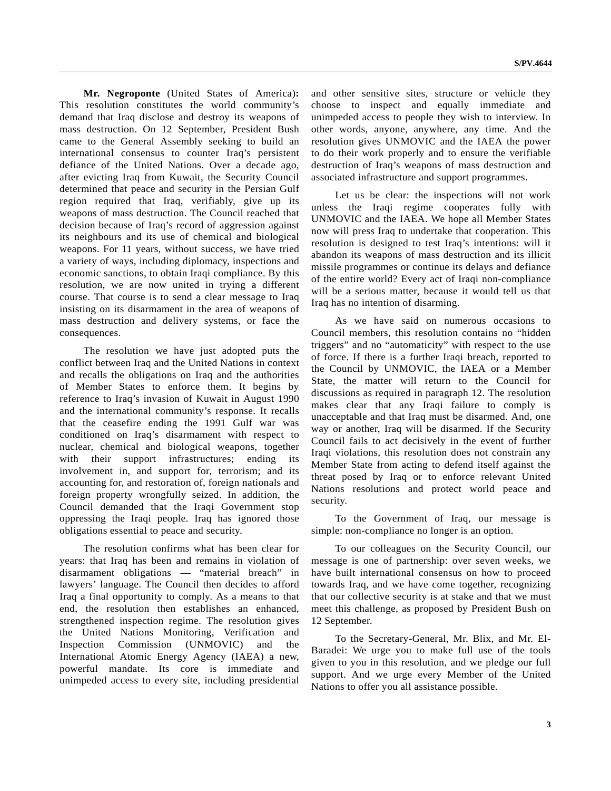**Mr. Negroponte** (United States of America)**:** This resolution constitutes the world community's demand that Iraq disclose and destroy its weapons of mass destruction. On 12 September, President Bush came to the General Assembly seeking to build an international consensus to counter Iraq's persistent defiance of the United Nations. Over a decade ago, after evicting Iraq from Kuwait, the Security Council determined that peace and security in the Persian Gulf region required that Iraq, verifiably, give up its weapons of mass destruction. The Council reached that decision because of Iraq's record of aggression against its neighbours and its use of chemical and biological weapons. For 11 years, without success, we have tried a variety of ways, including diplomacy, inspections and economic sanctions, to obtain Iraqi compliance. By this resolution, we are now united in trying a different course. That course is to send a clear message to Iraq insisting on its disarmament in the area of weapons of mass destruction and delivery systems, or face the consequences.

The resolution we have just adopted puts the conflict between Iraq and the United Nations in context and recalls the obligations on Iraq and the authorities of Member States to enforce them. It begins by reference to Iraq's invasion of Kuwait in August 1990 and the international community's response. It recalls that the ceasefire ending the 1991 Gulf war was conditioned on Iraq's disarmament with respect to nuclear, chemical and biological weapons, together with their support infrastructures; ending its involvement in, and support for, terrorism; and its accounting for, and restoration of, foreign nationals and foreign property wrongfully seized. In addition, the Council demanded that the Iraqi Government stop oppressing the Iraqi people. Iraq has ignored those obligations essential to peace and security.

The resolution confirms what has been clear for years: that Iraq has been and remains in violation of disarmament obligations — "material breach" in lawyers' language. The Council then decides to afford Iraq a final opportunity to comply. As a means to that end, the resolution then establishes an enhanced, strengthened inspection regime. The resolution gives the United Nations Monitoring, Verification and Inspection Commission (UNMOVIC) and the International Atomic Energy Agency (IAEA) a new, powerful mandate. Its core is immediate and unimpeded access to every site, including presidential

and other sensitive sites, structure or vehicle they choose to inspect and equally immediate and unimpeded access to people they wish to interview. In other words, anyone, anywhere, any time. And the resolution gives UNMOVIC and the IAEA the power to do their work properly and to ensure the verifiable destruction of Iraq's weapons of mass destruction and associated infrastructure and support programmes.

Let us be clear: the inspections will not work unless the Iraqi regime cooperates fully with UNMOVIC and the IAEA. We hope all Member States now will press Iraq to undertake that cooperation. This resolution is designed to test Iraq's intentions: will it abandon its weapons of mass destruction and its illicit missile programmes or continue its delays and defiance of the entire world? Every act of Iraqi non-compliance will be a serious matter, because it would tell us that Iraq has no intention of disarming.

As we have said on numerous occasions to Council members, this resolution contains no "hidden triggers" and no "automaticity" with respect to the use of force. If there is a further Iraqi breach, reported to the Council by UNMOVIC, the IAEA or a Member State, the matter will return to the Council for discussions as required in paragraph 12. The resolution makes clear that any Iraqi failure to comply is unacceptable and that Iraq must be disarmed. And, one way or another, Iraq will be disarmed. If the Security Council fails to act decisively in the event of further Iraqi violations, this resolution does not constrain any Member State from acting to defend itself against the threat posed by Iraq or to enforce relevant United Nations resolutions and protect world peace and security.

To the Government of Iraq, our message is simple: non-compliance no longer is an option.

To our colleagues on the Security Council, our message is one of partnership: over seven weeks, we have built international consensus on how to proceed towards Iraq, and we have come together, recognizing that our collective security is at stake and that we must meet this challenge, as proposed by President Bush on 12 September.

To the Secretary-General, Mr. Blix, and Mr. El-Baradei: We urge you to make full use of the tools given to you in this resolution, and we pledge our full support. And we urge every Member of the United Nations to offer you all assistance possible.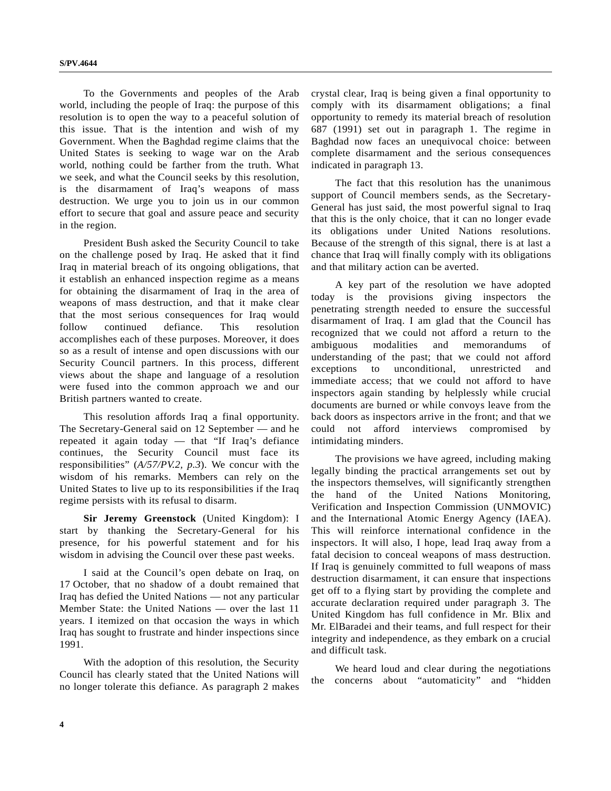To the Governments and peoples of the Arab world, including the people of Iraq: the purpose of this resolution is to open the way to a peaceful solution of this issue. That is the intention and wish of my Government. When the Baghdad regime claims that the United States is seeking to wage war on the Arab world, nothing could be farther from the truth. What we seek, and what the Council seeks by this resolution, is the disarmament of Iraq's weapons of mass destruction. We urge you to join us in our common effort to secure that goal and assure peace and security in the region.

President Bush asked the Security Council to take on the challenge posed by Iraq. He asked that it find Iraq in material breach of its ongoing obligations, that it establish an enhanced inspection regime as a means for obtaining the disarmament of Iraq in the area of weapons of mass destruction, and that it make clear that the most serious consequences for Iraq would follow continued defiance. This resolution accomplishes each of these purposes. Moreover, it does so as a result of intense and open discussions with our Security Council partners. In this process, different views about the shape and language of a resolution were fused into the common approach we and our British partners wanted to create.

This resolution affords Iraq a final opportunity. The Secretary-General said on 12 September — and he repeated it again today — that "If Iraq's defiance continues, the Security Council must face its responsibilities" (*A/57/PV.2, p.3*). We concur with the wisdom of his remarks. Members can rely on the United States to live up to its responsibilities if the Iraq regime persists with its refusal to disarm.

**Sir Jeremy Greenstock** (United Kingdom): I start by thanking the Secretary-General for his presence, for his powerful statement and for his wisdom in advising the Council over these past weeks.

I said at the Council's open debate on Iraq, on 17 October, that no shadow of a doubt remained that Iraq has defied the United Nations — not any particular Member State: the United Nations — over the last 11 years. I itemized on that occasion the ways in which Iraq has sought to frustrate and hinder inspections since 1991.

With the adoption of this resolution, the Security Council has clearly stated that the United Nations will no longer tolerate this defiance. As paragraph 2 makes crystal clear, Iraq is being given a final opportunity to comply with its disarmament obligations; a final opportunity to remedy its material breach of resolution 687 (1991) set out in paragraph 1. The regime in Baghdad now faces an unequivocal choice: between complete disarmament and the serious consequences indicated in paragraph 13.

The fact that this resolution has the unanimous support of Council members sends, as the Secretary-General has just said, the most powerful signal to Iraq that this is the only choice, that it can no longer evade its obligations under United Nations resolutions. Because of the strength of this signal, there is at last a chance that Iraq will finally comply with its obligations and that military action can be averted.

A key part of the resolution we have adopted today is the provisions giving inspectors the penetrating strength needed to ensure the successful disarmament of Iraq. I am glad that the Council has recognized that we could not afford a return to the ambiguous modalities and memorandums of understanding of the past; that we could not afford exceptions to unconditional, unrestricted and immediate access; that we could not afford to have inspectors again standing by helplessly while crucial documents are burned or while convoys leave from the back doors as inspectors arrive in the front; and that we could not afford interviews compromised by intimidating minders.

The provisions we have agreed, including making legally binding the practical arrangements set out by the inspectors themselves, will significantly strengthen the hand of the United Nations Monitoring, Verification and Inspection Commission (UNMOVIC) and the International Atomic Energy Agency (IAEA). This will reinforce international confidence in the inspectors. It will also, I hope, lead Iraq away from a fatal decision to conceal weapons of mass destruction. If Iraq is genuinely committed to full weapons of mass destruction disarmament, it can ensure that inspections get off to a flying start by providing the complete and accurate declaration required under paragraph 3. The United Kingdom has full confidence in Mr. Blix and Mr. ElBaradei and their teams, and full respect for their integrity and independence, as they embark on a crucial and difficult task.

We heard loud and clear during the negotiations the concerns about "automaticity" and "hidden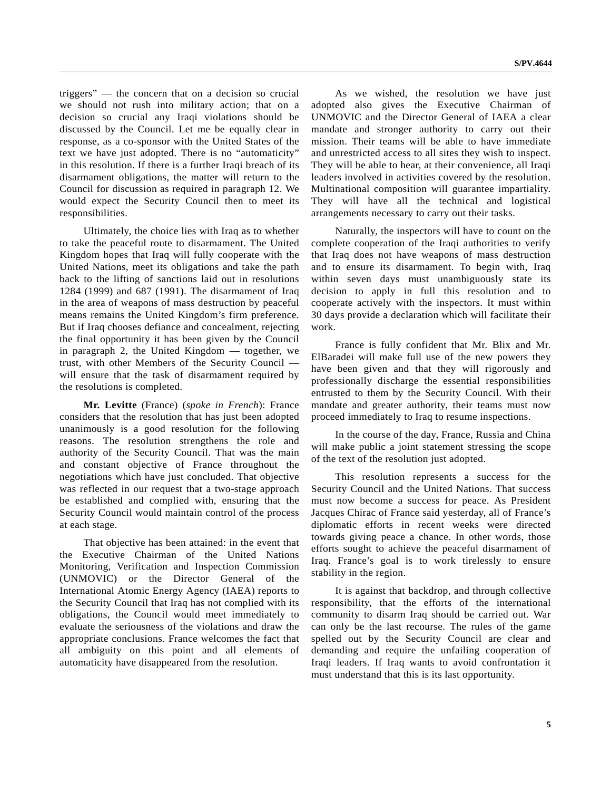triggers" — the concern that on a decision so crucial we should not rush into military action; that on a decision so crucial any Iraqi violations should be discussed by the Council. Let me be equally clear in response, as a co-sponsor with the United States of the text we have just adopted. There is no "automaticity" in this resolution. If there is a further Iraqi breach of its disarmament obligations, the matter will return to the Council for discussion as required in paragraph 12. We would expect the Security Council then to meet its responsibilities.

Ultimately, the choice lies with Iraq as to whether to take the peaceful route to disarmament. The United Kingdom hopes that Iraq will fully cooperate with the United Nations, meet its obligations and take the path back to the lifting of sanctions laid out in resolutions 1284 (1999) and 687 (1991). The disarmament of Iraq in the area of weapons of mass destruction by peaceful means remains the United Kingdom's firm preference. But if Iraq chooses defiance and concealment, rejecting the final opportunity it has been given by the Council in paragraph 2, the United Kingdom — together, we trust, with other Members of the Security Council will ensure that the task of disarmament required by the resolutions is completed.

**Mr. Levitte** (France) (*spoke in French*): France considers that the resolution that has just been adopted unanimously is a good resolution for the following reasons. The resolution strengthens the role and authority of the Security Council. That was the main and constant objective of France throughout the negotiations which have just concluded. That objective was reflected in our request that a two-stage approach be established and complied with, ensuring that the Security Council would maintain control of the process at each stage.

That objective has been attained: in the event that the Executive Chairman of the United Nations Monitoring, Verification and Inspection Commission (UNMOVIC) or the Director General of the International Atomic Energy Agency (IAEA) reports to the Security Council that Iraq has not complied with its obligations, the Council would meet immediately to evaluate the seriousness of the violations and draw the appropriate conclusions. France welcomes the fact that all ambiguity on this point and all elements of automaticity have disappeared from the resolution.

As we wished, the resolution we have just adopted also gives the Executive Chairman of UNMOVIC and the Director General of IAEA a clear mandate and stronger authority to carry out their mission. Their teams will be able to have immediate and unrestricted access to all sites they wish to inspect. They will be able to hear, at their convenience, all Iraqi leaders involved in activities covered by the resolution. Multinational composition will guarantee impartiality. They will have all the technical and logistical arrangements necessary to carry out their tasks.

Naturally, the inspectors will have to count on the complete cooperation of the Iraqi authorities to verify that Iraq does not have weapons of mass destruction and to ensure its disarmament. To begin with, Iraq within seven days must unambiguously state its decision to apply in full this resolution and to cooperate actively with the inspectors. It must within 30 days provide a declaration which will facilitate their work.

France is fully confident that Mr. Blix and Mr. ElBaradei will make full use of the new powers they have been given and that they will rigorously and professionally discharge the essential responsibilities entrusted to them by the Security Council. With their mandate and greater authority, their teams must now proceed immediately to Iraq to resume inspections.

In the course of the day, France, Russia and China will make public a joint statement stressing the scope of the text of the resolution just adopted.

This resolution represents a success for the Security Council and the United Nations. That success must now become a success for peace. As President Jacques Chirac of France said yesterday, all of France's diplomatic efforts in recent weeks were directed towards giving peace a chance. In other words, those efforts sought to achieve the peaceful disarmament of Iraq. France's goal is to work tirelessly to ensure stability in the region.

It is against that backdrop, and through collective responsibility, that the efforts of the international community to disarm Iraq should be carried out. War can only be the last recourse. The rules of the game spelled out by the Security Council are clear and demanding and require the unfailing cooperation of Iraqi leaders. If Iraq wants to avoid confrontation it must understand that this is its last opportunity.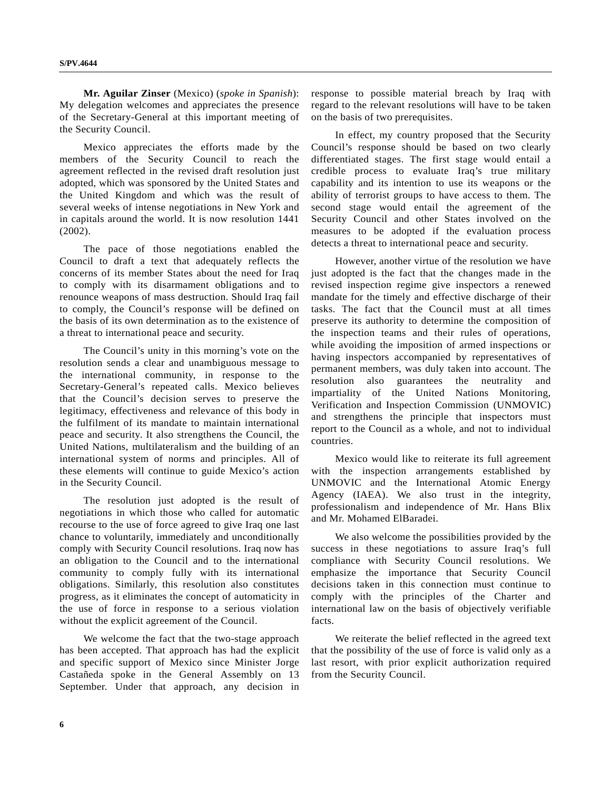**Mr. Aguilar Zinser** (Mexico) (*spoke in Spanish*): My delegation welcomes and appreciates the presence of the Secretary-General at this important meeting of the Security Council.

Mexico appreciates the efforts made by the members of the Security Council to reach the agreement reflected in the revised draft resolution just adopted, which was sponsored by the United States and the United Kingdom and which was the result of several weeks of intense negotiations in New York and in capitals around the world. It is now resolution 1441 (2002).

The pace of those negotiations enabled the Council to draft a text that adequately reflects the concerns of its member States about the need for Iraq to comply with its disarmament obligations and to renounce weapons of mass destruction. Should Iraq fail to comply, the Council's response will be defined on the basis of its own determination as to the existence of a threat to international peace and security.

The Council's unity in this morning's vote on the resolution sends a clear and unambiguous message to the international community, in response to the Secretary-General's repeated calls. Mexico believes that the Council's decision serves to preserve the legitimacy, effectiveness and relevance of this body in the fulfilment of its mandate to maintain international peace and security. It also strengthens the Council, the United Nations, multilateralism and the building of an international system of norms and principles. All of these elements will continue to guide Mexico's action in the Security Council.

The resolution just adopted is the result of negotiations in which those who called for automatic recourse to the use of force agreed to give Iraq one last chance to voluntarily, immediately and unconditionally comply with Security Council resolutions. Iraq now has an obligation to the Council and to the international community to comply fully with its international obligations. Similarly, this resolution also constitutes progress, as it eliminates the concept of automaticity in the use of force in response to a serious violation without the explicit agreement of the Council.

We welcome the fact that the two-stage approach has been accepted. That approach has had the explicit and specific support of Mexico since Minister Jorge Castañeda spoke in the General Assembly on 13 September. Under that approach, any decision in

response to possible material breach by Iraq with regard to the relevant resolutions will have to be taken on the basis of two prerequisites.

In effect, my country proposed that the Security Council's response should be based on two clearly differentiated stages. The first stage would entail a credible process to evaluate Iraq's true military capability and its intention to use its weapons or the ability of terrorist groups to have access to them. The second stage would entail the agreement of the Security Council and other States involved on the measures to be adopted if the evaluation process detects a threat to international peace and security.

However, another virtue of the resolution we have just adopted is the fact that the changes made in the revised inspection regime give inspectors a renewed mandate for the timely and effective discharge of their tasks. The fact that the Council must at all times preserve its authority to determine the composition of the inspection teams and their rules of operations, while avoiding the imposition of armed inspections or having inspectors accompanied by representatives of permanent members, was duly taken into account. The resolution also guarantees the neutrality and impartiality of the United Nations Monitoring, Verification and Inspection Commission (UNMOVIC) and strengthens the principle that inspectors must report to the Council as a whole, and not to individual countries.

Mexico would like to reiterate its full agreement with the inspection arrangements established by UNMOVIC and the International Atomic Energy Agency (IAEA). We also trust in the integrity, professionalism and independence of Mr. Hans Blix and Mr. Mohamed ElBaradei.

We also welcome the possibilities provided by the success in these negotiations to assure Iraq's full compliance with Security Council resolutions. We emphasize the importance that Security Council decisions taken in this connection must continue to comply with the principles of the Charter and international law on the basis of objectively verifiable facts.

We reiterate the belief reflected in the agreed text that the possibility of the use of force is valid only as a last resort, with prior explicit authorization required from the Security Council.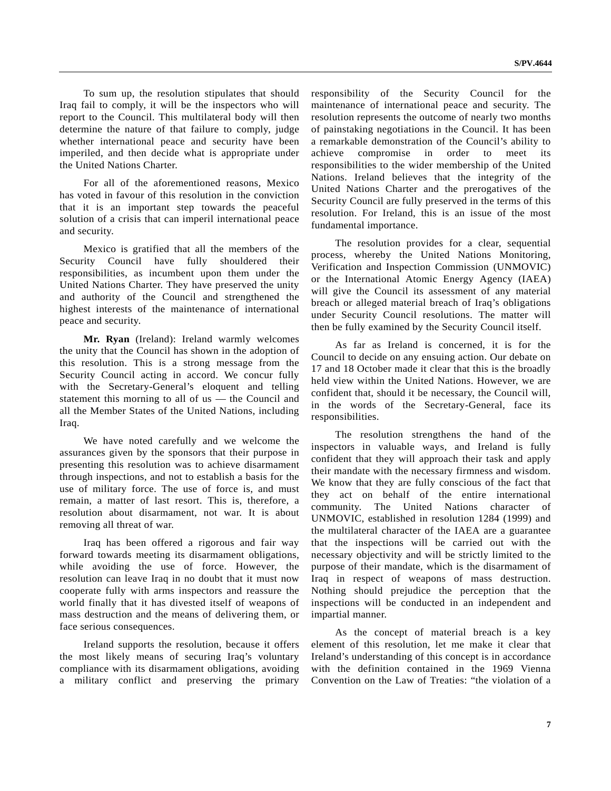To sum up, the resolution stipulates that should Iraq fail to comply, it will be the inspectors who will report to the Council. This multilateral body will then determine the nature of that failure to comply, judge whether international peace and security have been imperiled, and then decide what is appropriate under the United Nations Charter.

For all of the aforementioned reasons, Mexico has voted in favour of this resolution in the conviction that it is an important step towards the peaceful solution of a crisis that can imperil international peace and security.

Mexico is gratified that all the members of the Security Council have fully shouldered their responsibilities, as incumbent upon them under the United Nations Charter. They have preserved the unity and authority of the Council and strengthened the highest interests of the maintenance of international peace and security.

**Mr. Ryan** (Ireland): Ireland warmly welcomes the unity that the Council has shown in the adoption of this resolution. This is a strong message from the Security Council acting in accord. We concur fully with the Secretary-General's eloquent and telling statement this morning to all of us — the Council and all the Member States of the United Nations, including Iraq.

We have noted carefully and we welcome the assurances given by the sponsors that their purpose in presenting this resolution was to achieve disarmament through inspections, and not to establish a basis for the use of military force. The use of force is, and must remain, a matter of last resort. This is, therefore, a resolution about disarmament, not war. It is about removing all threat of war.

Iraq has been offered a rigorous and fair way forward towards meeting its disarmament obligations, while avoiding the use of force. However, the resolution can leave Iraq in no doubt that it must now cooperate fully with arms inspectors and reassure the world finally that it has divested itself of weapons of mass destruction and the means of delivering them, or face serious consequences.

Ireland supports the resolution, because it offers the most likely means of securing Iraq's voluntary compliance with its disarmament obligations, avoiding a military conflict and preserving the primary responsibility of the Security Council for the maintenance of international peace and security. The resolution represents the outcome of nearly two months of painstaking negotiations in the Council. It has been a remarkable demonstration of the Council's ability to achieve compromise in order to meet its responsibilities to the wider membership of the United Nations. Ireland believes that the integrity of the United Nations Charter and the prerogatives of the Security Council are fully preserved in the terms of this resolution. For Ireland, this is an issue of the most fundamental importance.

The resolution provides for a clear, sequential process, whereby the United Nations Monitoring, Verification and Inspection Commission (UNMOVIC) or the International Atomic Energy Agency (IAEA) will give the Council its assessment of any material breach or alleged material breach of Iraq's obligations under Security Council resolutions. The matter will then be fully examined by the Security Council itself.

As far as Ireland is concerned, it is for the Council to decide on any ensuing action. Our debate on 17 and 18 October made it clear that this is the broadly held view within the United Nations. However, we are confident that, should it be necessary, the Council will, in the words of the Secretary-General, face its responsibilities.

The resolution strengthens the hand of the inspectors in valuable ways, and Ireland is fully confident that they will approach their task and apply their mandate with the necessary firmness and wisdom. We know that they are fully conscious of the fact that they act on behalf of the entire international community. The United Nations character of UNMOVIC, established in resolution 1284 (1999) and the multilateral character of the IAEA are a guarantee that the inspections will be carried out with the necessary objectivity and will be strictly limited to the purpose of their mandate, which is the disarmament of Iraq in respect of weapons of mass destruction. Nothing should prejudice the perception that the inspections will be conducted in an independent and impartial manner.

As the concept of material breach is a key element of this resolution, let me make it clear that Ireland's understanding of this concept is in accordance with the definition contained in the 1969 Vienna Convention on the Law of Treaties: "the violation of a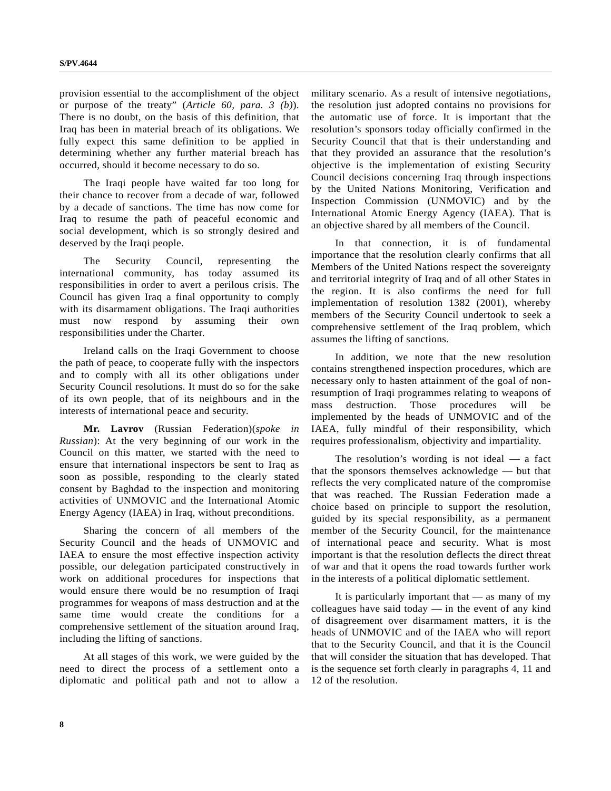provision essential to the accomplishment of the object or purpose of the treaty" (*Article 60, para. 3 (b)*). There is no doubt, on the basis of this definition, that Iraq has been in material breach of its obligations. We fully expect this same definition to be applied in determining whether any further material breach has occurred, should it become necessary to do so.

The Iraqi people have waited far too long for their chance to recover from a decade of war, followed by a decade of sanctions. The time has now come for Iraq to resume the path of peaceful economic and social development, which is so strongly desired and deserved by the Iraqi people.

The Security Council, representing the international community, has today assumed its responsibilities in order to avert a perilous crisis. The Council has given Iraq a final opportunity to comply with its disarmament obligations. The Iraqi authorities must now respond by assuming their own responsibilities under the Charter.

Ireland calls on the Iraqi Government to choose the path of peace, to cooperate fully with the inspectors and to comply with all its other obligations under Security Council resolutions. It must do so for the sake of its own people, that of its neighbours and in the interests of international peace and security.

**Mr. Lavrov** (Russian Federation)(*spoke in Russian*): At the very beginning of our work in the Council on this matter, we started with the need to ensure that international inspectors be sent to Iraq as soon as possible, responding to the clearly stated consent by Baghdad to the inspection and monitoring activities of UNMOVIC and the International Atomic Energy Agency (IAEA) in Iraq, without preconditions.

Sharing the concern of all members of the Security Council and the heads of UNMOVIC and IAEA to ensure the most effective inspection activity possible, our delegation participated constructively in work on additional procedures for inspections that would ensure there would be no resumption of Iraqi programmes for weapons of mass destruction and at the same time would create the conditions for a comprehensive settlement of the situation around Iraq, including the lifting of sanctions.

At all stages of this work, we were guided by the need to direct the process of a settlement onto a diplomatic and political path and not to allow a military scenario. As a result of intensive negotiations, the resolution just adopted contains no provisions for the automatic use of force. It is important that the resolution's sponsors today officially confirmed in the Security Council that that is their understanding and that they provided an assurance that the resolution's objective is the implementation of existing Security Council decisions concerning Iraq through inspections by the United Nations Monitoring, Verification and Inspection Commission (UNMOVIC) and by the International Atomic Energy Agency (IAEA). That is an objective shared by all members of the Council.

In that connection, it is of fundamental importance that the resolution clearly confirms that all Members of the United Nations respect the sovereignty and territorial integrity of Iraq and of all other States in the region. It is also confirms the need for full implementation of resolution 1382 (2001), whereby members of the Security Council undertook to seek a comprehensive settlement of the Iraq problem, which assumes the lifting of sanctions.

In addition, we note that the new resolution contains strengthened inspection procedures, which are necessary only to hasten attainment of the goal of nonresumption of Iraqi programmes relating to weapons of mass destruction. Those procedures will be implemented by the heads of UNMOVIC and of the IAEA, fully mindful of their responsibility, which requires professionalism, objectivity and impartiality.

The resolution's wording is not ideal  $-$  a fact that the sponsors themselves acknowledge — but that reflects the very complicated nature of the compromise that was reached. The Russian Federation made a choice based on principle to support the resolution, guided by its special responsibility, as a permanent member of the Security Council, for the maintenance of international peace and security. What is most important is that the resolution deflects the direct threat of war and that it opens the road towards further work in the interests of a political diplomatic settlement.

It is particularly important that  $-$  as many of my colleagues have said today  $-$  in the event of any kind of disagreement over disarmament matters, it is the heads of UNMOVIC and of the IAEA who will report that to the Security Council, and that it is the Council that will consider the situation that has developed. That is the sequence set forth clearly in paragraphs 4, 11 and 12 of the resolution.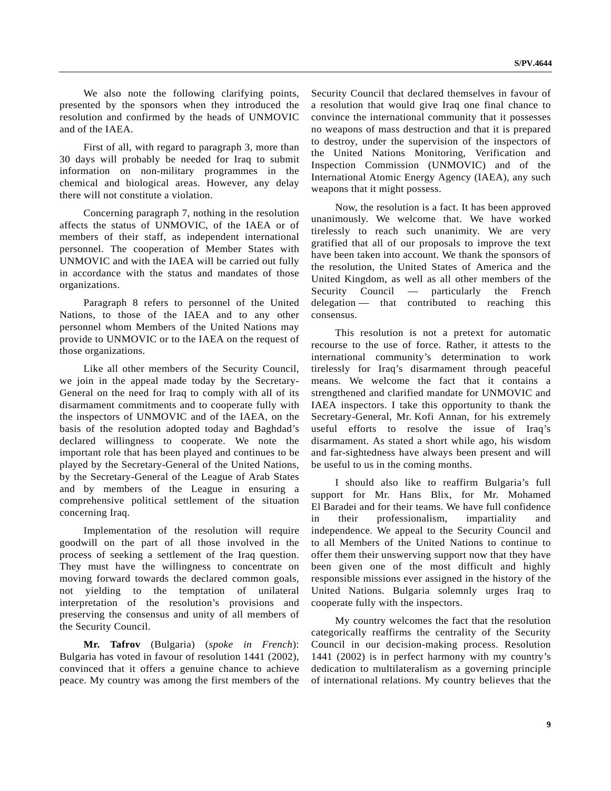We also note the following clarifying points, presented by the sponsors when they introduced the resolution and confirmed by the heads of UNMOVIC and of the IAEA.

First of all, with regard to paragraph 3, more than 30 days will probably be needed for Iraq to submit information on non-military programmes in the chemical and biological areas. However, any delay there will not constitute a violation.

Concerning paragraph 7, nothing in the resolution affects the status of UNMOVIC, of the IAEA or of members of their staff, as independent international personnel. The cooperation of Member States with UNMOVIC and with the IAEA will be carried out fully in accordance with the status and mandates of those organizations.

Paragraph 8 refers to personnel of the United Nations, to those of the IAEA and to any other personnel whom Members of the United Nations may provide to UNMOVIC or to the IAEA on the request of those organizations.

Like all other members of the Security Council, we join in the appeal made today by the Secretary-General on the need for Iraq to comply with all of its disarmament commitments and to cooperate fully with the inspectors of UNMOVIC and of the IAEA, on the basis of the resolution adopted today and Baghdad's declared willingness to cooperate. We note the important role that has been played and continues to be played by the Secretary-General of the United Nations, by the Secretary-General of the League of Arab States and by members of the League in ensuring a comprehensive political settlement of the situation concerning Iraq.

Implementation of the resolution will require goodwill on the part of all those involved in the process of seeking a settlement of the Iraq question. They must have the willingness to concentrate on moving forward towards the declared common goals, not yielding to the temptation of unilateral interpretation of the resolution's provisions and preserving the consensus and unity of all members of the Security Council.

**Mr. Tafrov** (Bulgaria) (*spoke in French*): Bulgaria has voted in favour of resolution 1441 (2002), convinced that it offers a genuine chance to achieve peace. My country was among the first members of the Security Council that declared themselves in favour of a resolution that would give Iraq one final chance to convince the international community that it possesses no weapons of mass destruction and that it is prepared to destroy, under the supervision of the inspectors of the United Nations Monitoring, Verification and Inspection Commission (UNMOVIC) and of the International Atomic Energy Agency (IAEA), any such weapons that it might possess.

Now, the resolution is a fact. It has been approved unanimously. We welcome that. We have worked tirelessly to reach such unanimity. We are very gratified that all of our proposals to improve the text have been taken into account. We thank the sponsors of the resolution, the United States of America and the United Kingdom, as well as all other members of the Security Council — particularly the French delegation — that contributed to reaching this consensus.

This resolution is not a pretext for automatic recourse to the use of force. Rather, it attests to the international community's determination to work tirelessly for Iraq's disarmament through peaceful means. We welcome the fact that it contains a strengthened and clarified mandate for UNMOVIC and IAEA inspectors. I take this opportunity to thank the Secretary-General, Mr. Kofi Annan, for his extremely useful efforts to resolve the issue of Iraq's disarmament. As stated a short while ago, his wisdom and far-sightedness have always been present and will be useful to us in the coming months.

I should also like to reaffirm Bulgaria's full support for Mr. Hans Blix, for Mr. Mohamed El Baradei and for their teams. We have full confidence in their professionalism, impartiality and independence. We appeal to the Security Council and to all Members of the United Nations to continue to offer them their unswerving support now that they have been given one of the most difficult and highly responsible missions ever assigned in the history of the United Nations. Bulgaria solemnly urges Iraq to cooperate fully with the inspectors.

My country welcomes the fact that the resolution categorically reaffirms the centrality of the Security Council in our decision-making process. Resolution 1441 (2002) is in perfect harmony with my country's dedication to multilateralism as a governing principle of international relations. My country believes that the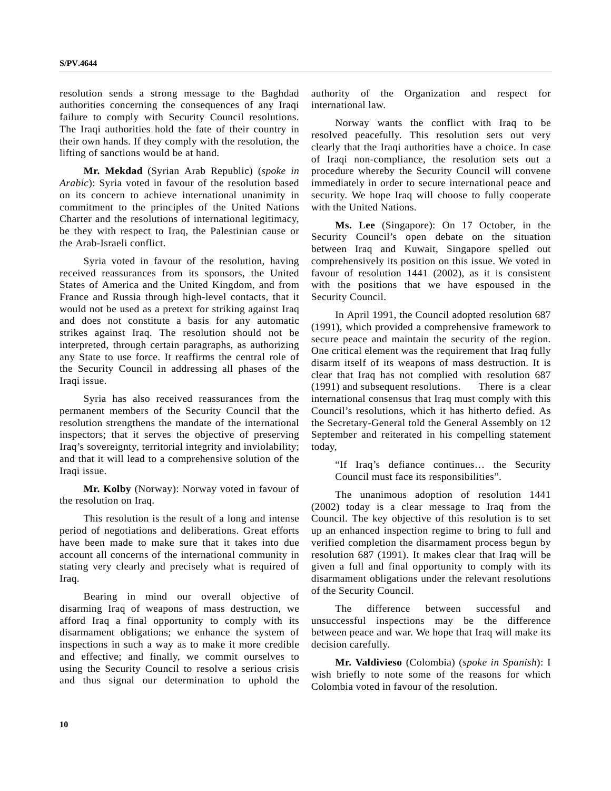resolution sends a strong message to the Baghdad authorities concerning the consequences of any Iraqi failure to comply with Security Council resolutions. The Iraqi authorities hold the fate of their country in their own hands. If they comply with the resolution, the lifting of sanctions would be at hand.

**Mr. Mekdad** (Syrian Arab Republic) (*spoke in Arabic*): Syria voted in favour of the resolution based on its concern to achieve international unanimity in commitment to the principles of the United Nations Charter and the resolutions of international legitimacy, be they with respect to Iraq, the Palestinian cause or the Arab-Israeli conflict.

Syria voted in favour of the resolution, having received reassurances from its sponsors, the United States of America and the United Kingdom, and from France and Russia through high-level contacts, that it would not be used as a pretext for striking against Iraq and does not constitute a basis for any automatic strikes against Iraq. The resolution should not be interpreted, through certain paragraphs, as authorizing any State to use force. It reaffirms the central role of the Security Council in addressing all phases of the Iraqi issue.

Syria has also received reassurances from the permanent members of the Security Council that the resolution strengthens the mandate of the international inspectors; that it serves the objective of preserving Iraq's sovereignty, territorial integrity and inviolability; and that it will lead to a comprehensive solution of the Iraqi issue.

**Mr. Kolby** (Norway): Norway voted in favour of the resolution on Iraq.

This resolution is the result of a long and intense period of negotiations and deliberations. Great efforts have been made to make sure that it takes into due account all concerns of the international community in stating very clearly and precisely what is required of Iraq.

Bearing in mind our overall objective of disarming Iraq of weapons of mass destruction, we afford Iraq a final opportunity to comply with its disarmament obligations; we enhance the system of inspections in such a way as to make it more credible and effective; and finally, we commit ourselves to using the Security Council to resolve a serious crisis and thus signal our determination to uphold the authority of the Organization and respect for international law.

Norway wants the conflict with Iraq to be resolved peacefully. This resolution sets out very clearly that the Iraqi authorities have a choice. In case of Iraqi non-compliance, the resolution sets out a procedure whereby the Security Council will convene immediately in order to secure international peace and security. We hope Iraq will choose to fully cooperate with the United Nations.

**Ms. Lee** (Singapore): On 17 October, in the Security Council's open debate on the situation between Iraq and Kuwait, Singapore spelled out comprehensively its position on this issue. We voted in favour of resolution 1441 (2002), as it is consistent with the positions that we have espoused in the Security Council.

In April 1991, the Council adopted resolution 687 (1991), which provided a comprehensive framework to secure peace and maintain the security of the region. One critical element was the requirement that Iraq fully disarm itself of its weapons of mass destruction. It is clear that Iraq has not complied with resolution 687 (1991) and subsequent resolutions. There is a clear international consensus that Iraq must comply with this Council's resolutions, which it has hitherto defied. As the Secretary-General told the General Assembly on 12 September and reiterated in his compelling statement today,

"If Iraq's defiance continues… the Security Council must face its responsibilities".

The unanimous adoption of resolution 1441 (2002) today is a clear message to Iraq from the Council. The key objective of this resolution is to set up an enhanced inspection regime to bring to full and verified completion the disarmament process begun by resolution 687 (1991). It makes clear that Iraq will be given a full and final opportunity to comply with its disarmament obligations under the relevant resolutions of the Security Council.

The difference between successful and unsuccessful inspections may be the difference between peace and war. We hope that Iraq will make its decision carefully.

**Mr. Valdivieso** (Colombia) (*spoke in Spanish*): I wish briefly to note some of the reasons for which Colombia voted in favour of the resolution.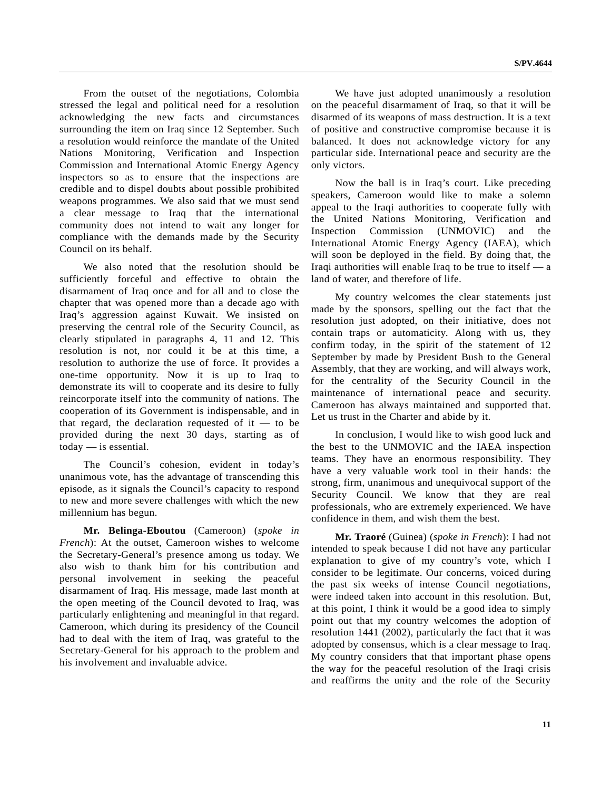From the outset of the negotiations, Colombia stressed the legal and political need for a resolution acknowledging the new facts and circumstances surrounding the item on Iraq since 12 September. Such a resolution would reinforce the mandate of the United Nations Monitoring, Verification and Inspection Commission and International Atomic Energy Agency inspectors so as to ensure that the inspections are credible and to dispel doubts about possible prohibited weapons programmes. We also said that we must send a clear message to Iraq that the international community does not intend to wait any longer for compliance with the demands made by the Security Council on its behalf.

We also noted that the resolution should be sufficiently forceful and effective to obtain the disarmament of Iraq once and for all and to close the chapter that was opened more than a decade ago with Iraq's aggression against Kuwait. We insisted on preserving the central role of the Security Council, as clearly stipulated in paragraphs 4, 11 and 12. This resolution is not, nor could it be at this time, a resolution to authorize the use of force. It provides a one-time opportunity. Now it is up to Iraq to demonstrate its will to cooperate and its desire to fully reincorporate itself into the community of nations. The cooperation of its Government is indispensable, and in that regard, the declaration requested of it  $-$  to be provided during the next 30 days, starting as of today — is essential.

The Council's cohesion, evident in today's unanimous vote, has the advantage of transcending this episode, as it signals the Council's capacity to respond to new and more severe challenges with which the new millennium has begun.

**Mr. Belinga-Eboutou** (Cameroon) (*spoke in French*): At the outset, Cameroon wishes to welcome the Secretary-General's presence among us today. We also wish to thank him for his contribution and personal involvement in seeking the peaceful disarmament of Iraq. His message, made last month at the open meeting of the Council devoted to Iraq, was particularly enlightening and meaningful in that regard. Cameroon, which during its presidency of the Council had to deal with the item of Iraq, was grateful to the Secretary-General for his approach to the problem and his involvement and invaluable advice.

We have just adopted unanimously a resolution on the peaceful disarmament of Iraq, so that it will be disarmed of its weapons of mass destruction. It is a text of positive and constructive compromise because it is balanced. It does not acknowledge victory for any particular side. International peace and security are the only victors.

Now the ball is in Iraq's court. Like preceding speakers, Cameroon would like to make a solemn appeal to the Iraqi authorities to cooperate fully with the United Nations Monitoring, Verification and Inspection Commission (UNMOVIC) and the International Atomic Energy Agency (IAEA), which will soon be deployed in the field. By doing that, the Iraqi authorities will enable Iraq to be true to itself — a land of water, and therefore of life.

My country welcomes the clear statements just made by the sponsors, spelling out the fact that the resolution just adopted, on their initiative, does not contain traps or automaticity. Along with us, they confirm today, in the spirit of the statement of 12 September by made by President Bush to the General Assembly, that they are working, and will always work, for the centrality of the Security Council in the maintenance of international peace and security. Cameroon has always maintained and supported that. Let us trust in the Charter and abide by it.

In conclusion, I would like to wish good luck and the best to the UNMOVIC and the IAEA inspection teams. They have an enormous responsibility. They have a very valuable work tool in their hands: the strong, firm, unanimous and unequivocal support of the Security Council. We know that they are real professionals, who are extremely experienced. We have confidence in them, and wish them the best.

**Mr. Traoré** (Guinea) (*spoke in French*): I had not intended to speak because I did not have any particular explanation to give of my country's vote, which I consider to be legitimate. Our concerns, voiced during the past six weeks of intense Council negotiations, were indeed taken into account in this resolution. But, at this point, I think it would be a good idea to simply point out that my country welcomes the adoption of resolution 1441 (2002), particularly the fact that it was adopted by consensus, which is a clear message to Iraq. My country considers that that important phase opens the way for the peaceful resolution of the Iraqi crisis and reaffirms the unity and the role of the Security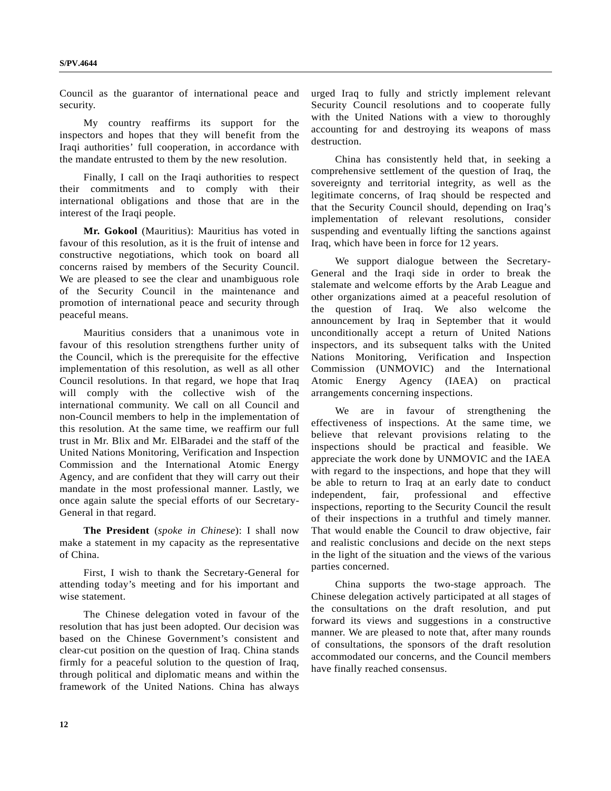Council as the guarantor of international peace and security.

My country reaffirms its support for the inspectors and hopes that they will benefit from the Iraqi authorities' full cooperation, in accordance with the mandate entrusted to them by the new resolution.

Finally, I call on the Iraqi authorities to respect their commitments and to comply with their international obligations and those that are in the interest of the Iraqi people.

**Mr. Gokool** (Mauritius): Mauritius has voted in favour of this resolution, as it is the fruit of intense and constructive negotiations, which took on board all concerns raised by members of the Security Council. We are pleased to see the clear and unambiguous role of the Security Council in the maintenance and promotion of international peace and security through peaceful means.

Mauritius considers that a unanimous vote in favour of this resolution strengthens further unity of the Council, which is the prerequisite for the effective implementation of this resolution, as well as all other Council resolutions. In that regard, we hope that Iraq will comply with the collective wish of the international community. We call on all Council and non-Council members to help in the implementation of this resolution. At the same time, we reaffirm our full trust in Mr. Blix and Mr. ElBaradei and the staff of the United Nations Monitoring, Verification and Inspection Commission and the International Atomic Energy Agency, and are confident that they will carry out their mandate in the most professional manner. Lastly, we once again salute the special efforts of our Secretary-General in that regard.

**The President** (*spoke in Chinese*): I shall now make a statement in my capacity as the representative of China.

First, I wish to thank the Secretary-General for attending today's meeting and for his important and wise statement.

The Chinese delegation voted in favour of the resolution that has just been adopted. Our decision was based on the Chinese Government's consistent and clear-cut position on the question of Iraq. China stands firmly for a peaceful solution to the question of Iraq, through political and diplomatic means and within the framework of the United Nations. China has always

urged Iraq to fully and strictly implement relevant Security Council resolutions and to cooperate fully with the United Nations with a view to thoroughly accounting for and destroying its weapons of mass destruction.

China has consistently held that, in seeking a comprehensive settlement of the question of Iraq, the sovereignty and territorial integrity, as well as the legitimate concerns, of Iraq should be respected and that the Security Council should, depending on Iraq's implementation of relevant resolutions, consider suspending and eventually lifting the sanctions against Iraq, which have been in force for 12 years.

We support dialogue between the Secretary-General and the Iraqi side in order to break the stalemate and welcome efforts by the Arab League and other organizations aimed at a peaceful resolution of the question of Iraq. We also welcome the announcement by Iraq in September that it would unconditionally accept a return of United Nations inspectors, and its subsequent talks with the United Nations Monitoring, Verification and Inspection Commission (UNMOVIC) and the International Atomic Energy Agency (IAEA) on practical arrangements concerning inspections.

We are in favour of strengthening the effectiveness of inspections. At the same time, we believe that relevant provisions relating to the inspections should be practical and feasible. We appreciate the work done by UNMOVIC and the IAEA with regard to the inspections, and hope that they will be able to return to Iraq at an early date to conduct independent, fair, professional and effective inspections, reporting to the Security Council the result of their inspections in a truthful and timely manner. That would enable the Council to draw objective, fair and realistic conclusions and decide on the next steps in the light of the situation and the views of the various parties concerned.

China supports the two-stage approach. The Chinese delegation actively participated at all stages of the consultations on the draft resolution, and put forward its views and suggestions in a constructive manner. We are pleased to note that, after many rounds of consultations, the sponsors of the draft resolution accommodated our concerns, and the Council members have finally reached consensus.